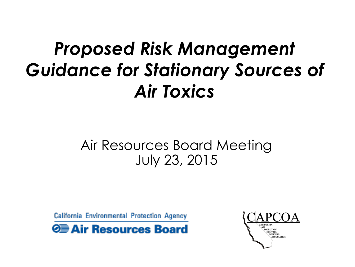# *Proposed Risk Management Guidance for Stationary Sources of Air Toxics*

### Air Resources Board Meeting July 23, 2015

California Environmental Protection Agency

**O** Air Resources Board

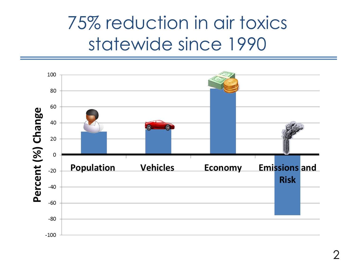## 75% reduction in air toxics statewide since 1990

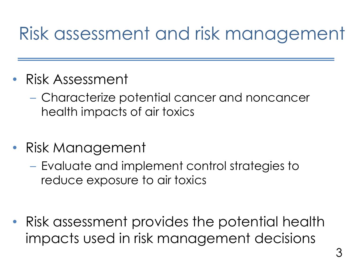## Risk assessment and risk management

- Risk Assessment
	- Characterize potential cancer and noncancer health impacts of air toxics
- Risk Management
	- Evaluate and implement control strategies to reduce exposure to air toxics

• Risk assessment provides the potential health impacts used in risk management decisions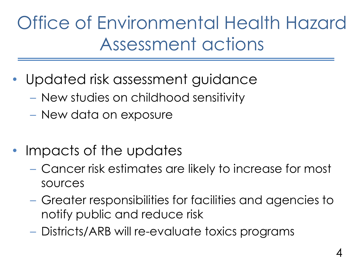Office of Environmental Health Hazard Assessment actions

- Updated risk assessment guidance
	- New studies on childhood sensitivity
	- New data on exposure
- Impacts of the updates
	- Cancer risk estimates are likely to increase for most sources
	- Greater responsibilities for facilities and agencies to notify public and reduce risk
	- Districts/ARB will re-evaluate toxics programs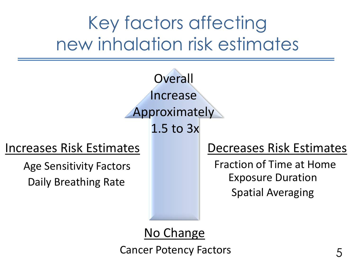# Key factors affecting new inhalation risk estimates



Cancer Potency Factors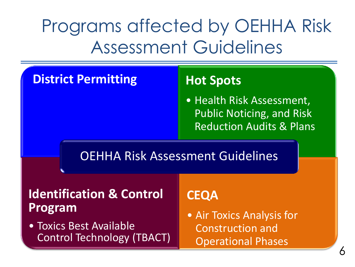# Programs affected by OEHHA Risk Assessment Guidelines

#### **District Permitting Hot Spots**

• Health Risk Assessment, Public Noticing, and Risk Reduction Audits & Plans

#### OEHHA Risk Assessment Guidelines

#### **Identification & Control Program**

• Toxics Best Available Control Technology (TBACT)

#### **CEQA**

• Air Toxics Analysis for Construction and Operational Phases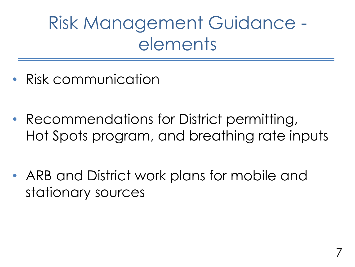Risk Management Guidance elements

- Risk communication
- Recommendations for District permitting, Hot Spots program, and breathing rate inputs
- ARB and District work plans for mobile and stationary sources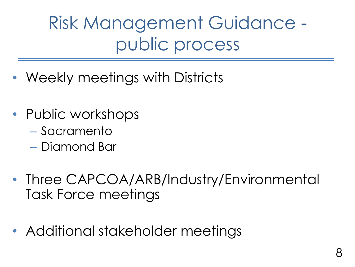Risk Management Guidance public process

- Weekly meetings with Districts
- Public workshops
	- Sacramento
	- Diamond Bar
- Three CAPCOA/ARB/Industry/Environmental Task Force meetings
- Additional stakeholder meetings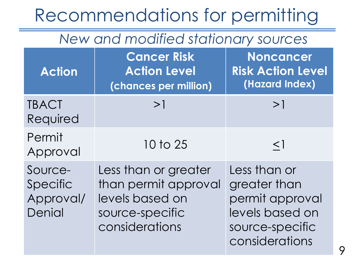## Recommendations for permitting

#### *New and modified stationary sources*

| <b>Action</b>                              | <b>Cancer Risk</b><br><b>Action Level</b><br>(chances per million)                                   | <b>Noncancer</b><br><b>Risk Action Level</b><br>(Hazard Index)                                          |
|--------------------------------------------|------------------------------------------------------------------------------------------------------|---------------------------------------------------------------------------------------------------------|
| <b>TBACT</b><br>Required                   | >1                                                                                                   | >1                                                                                                      |
| Permit<br>Approval                         | 10 to 25                                                                                             | $\leq$ ]                                                                                                |
| Source-<br>Specific<br>Approval/<br>Denial | Less than or greater<br>than permit approval<br>levels based on<br>source-specific<br>considerations | Less than or<br>greater than<br>permit approval<br>levels based on<br>source-specific<br>considerations |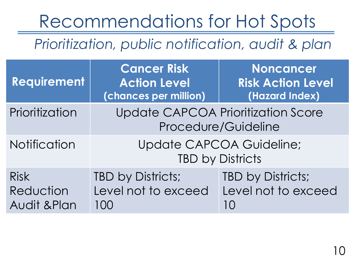# Recommendations for Hot Spots

*Prioritization, public notification, audit & plan*

| Requirement                              | <b>Cancer Risk</b><br><b>Action Level</b><br>(chances per million) | <b>Noncancer</b><br><b>Risk Action Level</b><br>(Hazard Index)   |
|------------------------------------------|--------------------------------------------------------------------|------------------------------------------------------------------|
| Prioritization                           |                                                                    | <b>Update CAPCOA Prioritization Score</b><br>Procedure/Guideline |
| Notification                             | <b>Update CAPCOA Guideline;</b><br><b>TBD by Districts</b>         |                                                                  |
| <b>Risk</b><br>Reduction<br>Audit & Plan | TBD by Districts;<br>Level not to exceed<br>100                    | TBD by Districts;<br>Level not to exceed<br>1 O                  |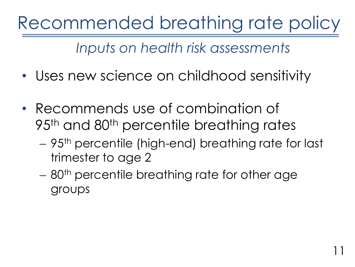Recommended breathing rate policy

*Inputs on health risk assessments*

- Uses new science on childhood sensitivity
- Recommends use of combination of 95<sup>th</sup> and 80<sup>th</sup> percentile breathing rates
	- 95th percentile (high-end) breathing rate for last trimester to age 2

11

– 80<sup>th</sup> percentile breathing rate for other age groups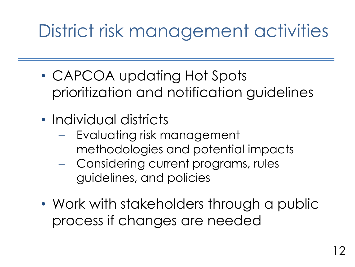# District risk management activities

- CAPCOA updating Hot Spots prioritization and notification guidelines
- Individual districts
	- Evaluating risk management methodologies and potential impacts
	- Considering current programs, rules guidelines, and policies
- Work with stakeholders through a public process if changes are needed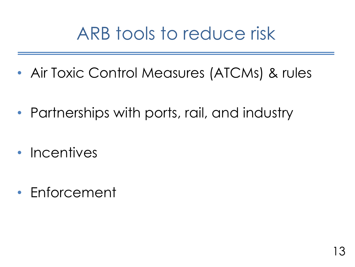## ARB tools to reduce risk

- Air Toxic Control Measures (ATCMs) & rules
- Partnerships with ports, rail, and industry
- Incentives
- Enforcement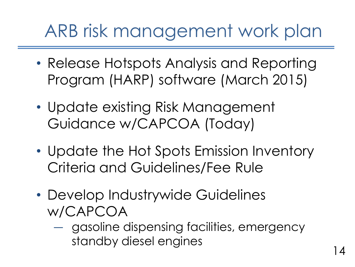# ARB risk management work plan

- Release Hotspots Analysis and Reporting Program (HARP) software (March 2015)
- Update existing Risk Management Guidance w/CAPCOA (Today)
- Update the Hot Spots Emission Inventory Criteria and Guidelines/Fee Rule
- Develop Industrywide Guidelines w/CAPCOA
	- ― gasoline dispensing facilities, emergency standby diesel engines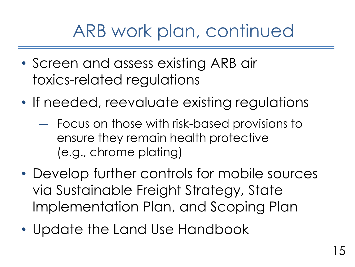## ARB work plan, continued

- Screen and assess existing ARB air toxics-related regulations
- If needed, reevaluate existing regulations
	- ― Focus on those with risk-based provisions to ensure they remain health protective (e.g., chrome plating)
- Develop further controls for mobile sources via Sustainable Freight Strategy, State Implementation Plan, and Scoping Plan
- Update the Land Use Handbook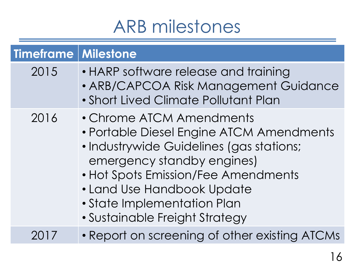## ARB milestones

| <b>Timeframe Milestone</b> |                                                                                                                                                                                                                                                                                      |
|----------------------------|--------------------------------------------------------------------------------------------------------------------------------------------------------------------------------------------------------------------------------------------------------------------------------------|
| 2015                       | • HARP software release and training<br>• ARB/CAPCOA Risk Management Guidance<br>• Short Lived Climate Pollutant Plan                                                                                                                                                                |
| 2016                       | • Chrome ATCM Amendments<br>• Portable Diesel Engine ATCM Amendments<br>• Industrywide Guidelines (gas stations;<br>emergency standby engines)<br>• Hot Spots Emission/Fee Amendments<br>• Land Use Handbook Update<br>• State Implementation Plan<br>• Sustainable Freight Strategy |
|                            | • Report on screening of other existing ATCMs                                                                                                                                                                                                                                        |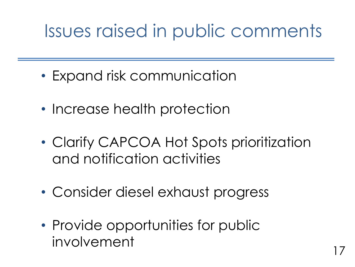# Issues raised in public comments

- Expand risk communication
- Increase health protection
- Clarify CAPCOA Hot Spots prioritization and notification activities
- Consider diesel exhaust progress
- Provide opportunities for public involvement